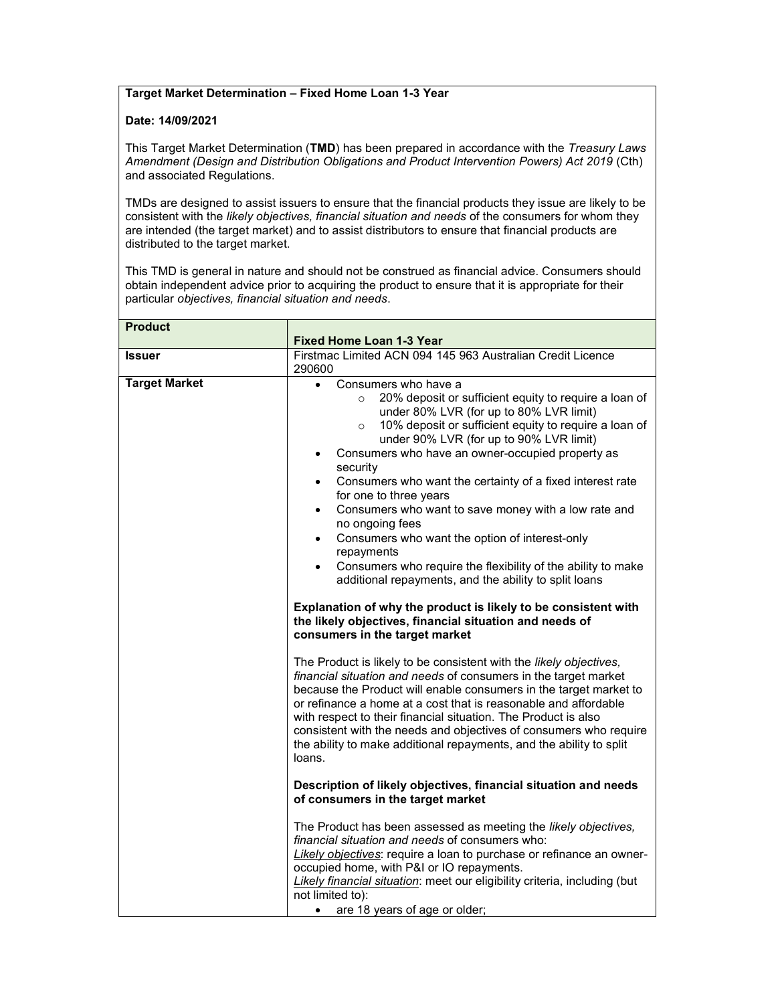## Target Market Determination – Fixed Home Loan 1-3 Year

## Date: 14/09/2021

This Target Market Determination (TMD) has been prepared in accordance with the Treasury Laws Amendment (Design and Distribution Obligations and Product Intervention Powers) Act 2019 (Cth) and associated Regulations.

TMDs are designed to assist issuers to ensure that the financial products they issue are likely to be consistent with the likely objectives, financial situation and needs of the consumers for whom they are intended (the target market) and to assist distributors to ensure that financial products are distributed to the target market.

This TMD is general in nature and should not be construed as financial advice. Consumers should obtain independent advice prior to acquiring the product to ensure that it is appropriate for their particular objectives, financial situation and needs.

| <b>Product</b>       | <b>Fixed Home Loan 1-3 Year</b>                                                                                                                                                                                                                                                                                                                                                                                                                                                                                                                                                                                                                                                                                                                                                                                                                                                                                            |
|----------------------|----------------------------------------------------------------------------------------------------------------------------------------------------------------------------------------------------------------------------------------------------------------------------------------------------------------------------------------------------------------------------------------------------------------------------------------------------------------------------------------------------------------------------------------------------------------------------------------------------------------------------------------------------------------------------------------------------------------------------------------------------------------------------------------------------------------------------------------------------------------------------------------------------------------------------|
| <b>Issuer</b>        | Firstmac Limited ACN 094 145 963 Australian Credit Licence                                                                                                                                                                                                                                                                                                                                                                                                                                                                                                                                                                                                                                                                                                                                                                                                                                                                 |
|                      | 290600                                                                                                                                                                                                                                                                                                                                                                                                                                                                                                                                                                                                                                                                                                                                                                                                                                                                                                                     |
| <b>Target Market</b> | Consumers who have a<br>$\bullet$<br>20% deposit or sufficient equity to require a loan of<br>$\circ$<br>under 80% LVR (for up to 80% LVR limit)<br>10% deposit or sufficient equity to require a loan of<br>$\circ$<br>under 90% LVR (for up to 90% LVR limit)<br>Consumers who have an owner-occupied property as<br>$\bullet$<br>security<br>Consumers who want the certainty of a fixed interest rate<br>$\bullet$<br>for one to three years<br>Consumers who want to save money with a low rate and<br>$\bullet$<br>no ongoing fees<br>Consumers who want the option of interest-only<br>$\bullet$<br>repayments<br>Consumers who require the flexibility of the ability to make<br>$\bullet$<br>additional repayments, and the ability to split loans<br>Explanation of why the product is likely to be consistent with<br>the likely objectives, financial situation and needs of<br>consumers in the target market |
|                      | The Product is likely to be consistent with the likely objectives,<br>financial situation and needs of consumers in the target market<br>because the Product will enable consumers in the target market to<br>or refinance a home at a cost that is reasonable and affordable<br>with respect to their financial situation. The Product is also<br>consistent with the needs and objectives of consumers who require<br>the ability to make additional repayments, and the ability to split<br>loans.<br>Description of likely objectives, financial situation and needs                                                                                                                                                                                                                                                                                                                                                   |
|                      | of consumers in the target market                                                                                                                                                                                                                                                                                                                                                                                                                                                                                                                                                                                                                                                                                                                                                                                                                                                                                          |
|                      | The Product has been assessed as meeting the likely objectives,<br>financial situation and needs of consumers who:<br>Likely objectives: require a loan to purchase or refinance an owner-<br>occupied home, with P&I or IO repayments.<br>Likely financial situation: meet our eligibility criteria, including (but<br>not limited to):<br>are 18 years of age or older;<br>$\bullet$                                                                                                                                                                                                                                                                                                                                                                                                                                                                                                                                     |